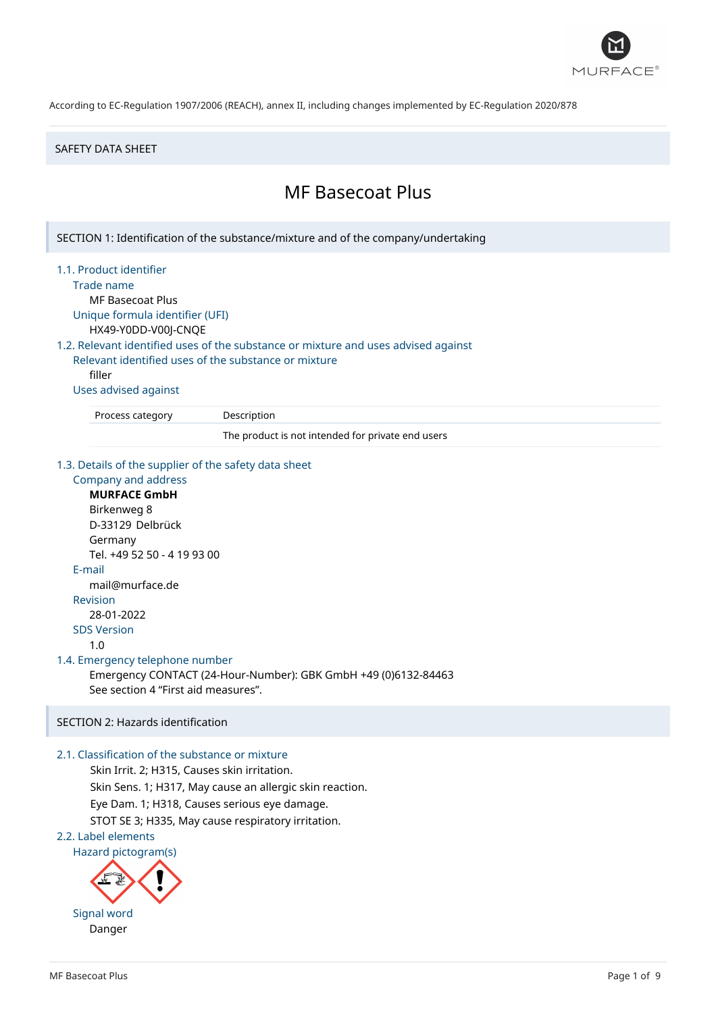

#### SAFETY DATA SHEET

# MF Basecoat Plus

SECTION 1: Identification of the substance/mixture and of the company/undertaking

1.1. Product identifier

Trade name

MF Basecoat Plus Unique formula identifier (UFI) HX49-Y0DD-V00J-CNQE

1.2. Relevant identified uses of the substance or mixture and uses advised against

Relevant identified uses of the substance or mixture filler

Uses advised against

Process category Description

The product is not intended for private end users

1.3. Details of the supplier of the safety data sheet

Company and address **MURFACE GmbH** Birkenweg 8 D-33129 Delbrück Germany Tel. +49 52 50 - 4 19 93 00 E-mail mail@murface.de Revision 28-01-2022 SDS Version 1.0 1.4. Emergency telephone number Emergency CONTACT (24-Hour-Number): GBK GmbH +49 (0)6132-84463 See section 4 "First aid measures".

# SECTION 2: Hazards identification

# 2.1. Classification of the substance or mixture

Skin Irrit. 2; H315, Causes skin irritation. Skin Sens. 1; H317, May cause an allergic skin reaction. Eye Dam. 1; H318, Causes serious eye damage. STOT SE 3; H335, May cause respiratory irritation.

2.2. Label elements

Hazard pictogram(s)

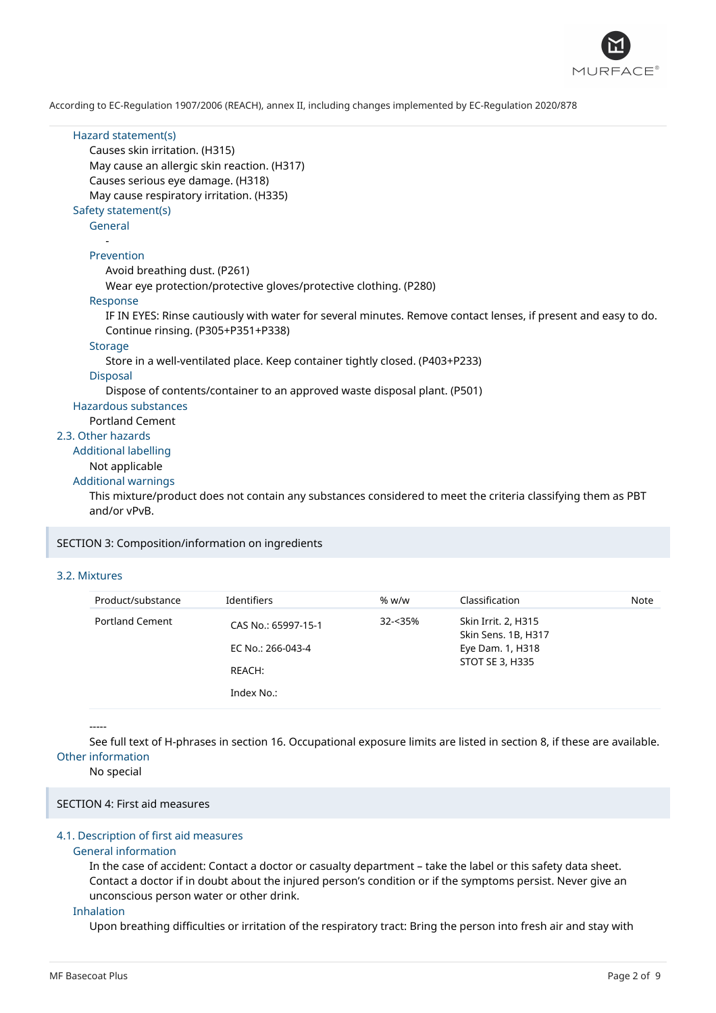

| Hazard statement(s)<br>Causes skin irritation. (H315)<br>May cause an allergic skin reaction. (H317)<br>Causes serious eye damage. (H318)<br>May cause respiratory irritation. (H335)<br>Safety statement(s)                                                                                                                                                                                                                                                                                                                                                                                                                                                                                                                                                                 |  |
|------------------------------------------------------------------------------------------------------------------------------------------------------------------------------------------------------------------------------------------------------------------------------------------------------------------------------------------------------------------------------------------------------------------------------------------------------------------------------------------------------------------------------------------------------------------------------------------------------------------------------------------------------------------------------------------------------------------------------------------------------------------------------|--|
| General                                                                                                                                                                                                                                                                                                                                                                                                                                                                                                                                                                                                                                                                                                                                                                      |  |
| Prevention<br>Avoid breathing dust. (P261)<br>Wear eye protection/protective gloves/protective clothing. (P280)<br>Response<br>IF IN EYES: Rinse cautiously with water for several minutes. Remove contact lenses, if present and easy to do.<br>Continue rinsing. (P305+P351+P338)<br><b>Storage</b><br>Store in a well-ventilated place. Keep container tightly closed. (P403+P233)<br><b>Disposal</b><br>Dispose of contents/container to an approved waste disposal plant. (P501)<br>Hazardous substances<br><b>Portland Cement</b><br>2.3. Other hazards<br><b>Additional labelling</b><br>Not applicable<br><b>Additional warnings</b><br>This mixture/product does not contain any substances considered to meet the criteria classifying them as PBT<br>and/or vPvB. |  |
|                                                                                                                                                                                                                                                                                                                                                                                                                                                                                                                                                                                                                                                                                                                                                                              |  |
|                                                                                                                                                                                                                                                                                                                                                                                                                                                                                                                                                                                                                                                                                                                                                                              |  |

SECTION 3: Composition/information on ingredients

# 3.2. Mixtures

| Product/substance      | Identifiers                                        | % w/w   | Classification                                                                    | Note |
|------------------------|----------------------------------------------------|---------|-----------------------------------------------------------------------------------|------|
| <b>Portland Cement</b> | CAS No.: 65997-15-1<br>EC No.: 266-043-4<br>REACH: | 32-<35% | Skin Irrit. 2, H315<br>Skin Sens. 1B, H317<br>Eye Dam. 1, H318<br>STOT SE 3, H335 |      |
|                        | Index No.:                                         |         |                                                                                   |      |

-----

See full text of H-phrases in section 16. Occupational exposure limits are listed in section 8, if these are available. Other information

No special

# SECTION 4: First aid measures

# 4.1. Description of first aid measures

### General information

In the case of accident: Contact a doctor or casualty department – take the label or this safety data sheet. Contact a doctor if in doubt about the injured person's condition or if the symptoms persist. Never give an unconscious person water or other drink.

#### Inhalation

Upon breathing difficulties or irritation of the respiratory tract: Bring the person into fresh air and stay with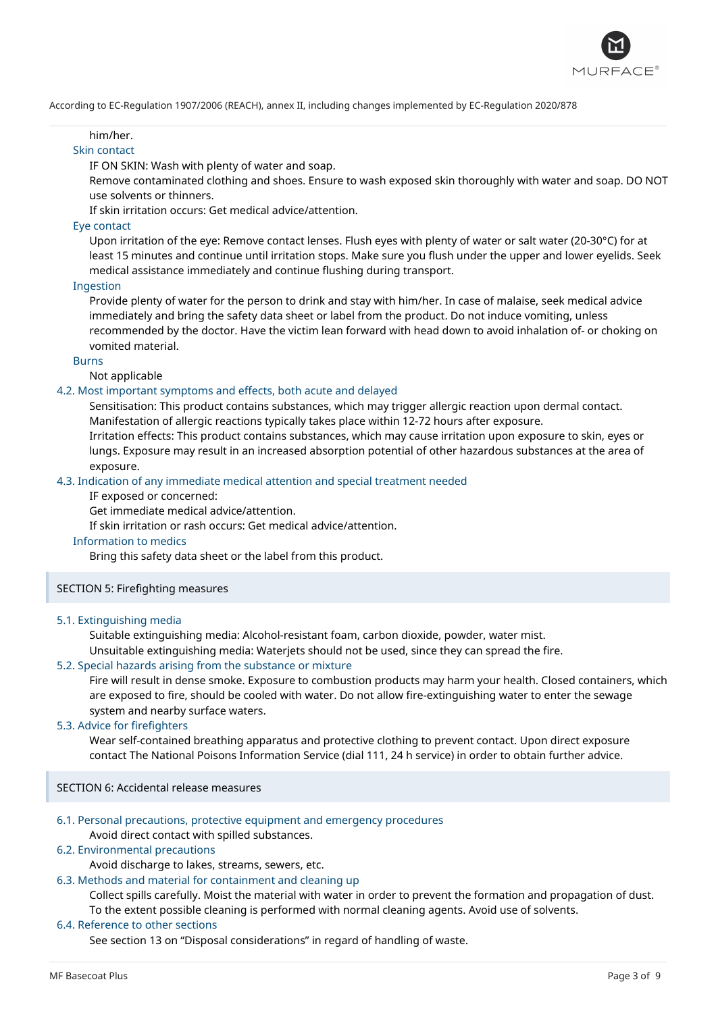

### him/her.

# Skin contact

IF ON SKIN: Wash with plenty of water and soap.

Remove contaminated clothing and shoes. Ensure to wash exposed skin thoroughly with water and soap. DO NOT use solvents or thinners.

If skin irritation occurs: Get medical advice/attention.

### Eye contact

Upon irritation of the eye: Remove contact lenses. Flush eyes with plenty of water or salt water (20-30°C) for at least 15 minutes and continue until irritation stops. Make sure you flush under the upper and lower eyelids. Seek medical assistance immediately and continue flushing during transport.

### Ingestion

Provide plenty of water for the person to drink and stay with him/her. In case of malaise, seek medical advice immediately and bring the safety data sheet or label from the product. Do not induce vomiting, unless recommended by the doctor. Have the victim lean forward with head down to avoid inhalation of- or choking on vomited material.

#### Burns

Not applicable

# 4.2. Most important symptoms and effects, both acute and delayed

Sensitisation: This product contains substances, which may trigger allergic reaction upon dermal contact. Manifestation of allergic reactions typically takes place within 12-72 hours after exposure.

Irritation effects: This product contains substances, which may cause irritation upon exposure to skin, eyes or lungs. Exposure may result in an increased absorption potential of other hazardous substances at the area of exposure.

# 4.3. Indication of any immediate medical attention and special treatment needed

IF exposed or concerned:

Get immediate medical advice/attention.

If skin irritation or rash occurs: Get medical advice/attention.

#### Information to medics

Bring this safety data sheet or the label from this product.

# SECTION 5: Firefighting measures

#### 5.1. Extinguishing media

Suitable extinguishing media: Alcohol-resistant foam, carbon dioxide, powder, water mist.

Unsuitable extinguishing media: Waterjets should not be used, since they can spread the fire.

# 5.2. Special hazards arising from the substance or mixture

Fire will result in dense smoke. Exposure to combustion products may harm your health. Closed containers, which are exposed to fire, should be cooled with water. Do not allow fire-extinguishing water to enter the sewage system and nearby surface waters.

#### 5.3. Advice for firefighters

Wear self-contained breathing apparatus and protective clothing to prevent contact. Upon direct exposure contact The National Poisons Information Service (dial 111, 24 h service) in order to obtain further advice.

SECTION 6: Accidental release measures

#### 6.1. Personal precautions, protective equipment and emergency procedures

Avoid direct contact with spilled substances.

# 6.2. Environmental precautions

Avoid discharge to lakes, streams, sewers, etc.

6.3. Methods and material for containment and cleaning up

Collect spills carefully. Moist the material with water in order to prevent the formation and propagation of dust. To the extent possible cleaning is performed with normal cleaning agents. Avoid use of solvents.

#### 6.4. Reference to other sections

See section 13 on "Disposal considerations" in regard of handling of waste.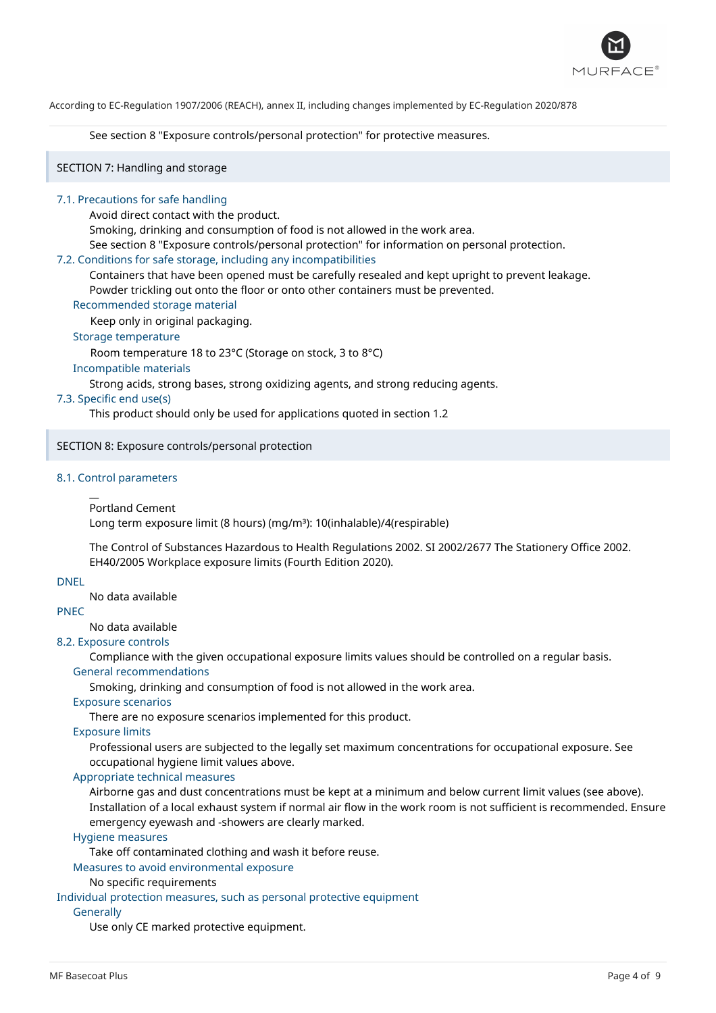

See section 8 "Exposure controls/personal protection" for protective measures.

SECTION 7: Handling and storage

### 7.1. Precautions for safe handling

Avoid direct contact with the product.

Smoking, drinking and consumption of food is not allowed in the work area.

See section 8 "Exposure controls/personal protection" for information on personal protection.

### 7.2. Conditions for safe storage, including any incompatibilities

Containers that have been opened must be carefully resealed and kept upright to prevent leakage. Powder trickling out onto the floor or onto other containers must be prevented.

#### Recommended storage material

Keep only in original packaging.

Storage temperature

Room temperature 18 to 23°C (Storage on stock, 3 to 8°C)

Incompatible materials

Strong acids, strong bases, strong oxidizing agents, and strong reducing agents.

### 7.3. Specific end use(s)

This product should only be used for applications quoted in section 1.2

# SECTION 8: Exposure controls/personal protection

### 8.1. Control parameters

 $\overline{a}$ 

```
Portland Cement
```
Long term exposure limit (8 hours) (mg/m<sup>3</sup>): 10(inhalable)/4(respirable)

The Control of Substances Hazardous to Health Regulations 2002. SI 2002/2677 The Stationery Office 2002. EH40/2005 Workplace exposure limits (Fourth Edition 2020).

#### DNEL

No data available

# PNEC

No data available

# 8.2. Exposure controls

Compliance with the given occupational exposure limits values should be controlled on a regular basis. General recommendations

Smoking, drinking and consumption of food is not allowed in the work area.

# Exposure scenarios

There are no exposure scenarios implemented for this product.

Exposure limits

Professional users are subjected to the legally set maximum concentrations for occupational exposure. See occupational hygiene limit values above.

# Appropriate technical measures

Airborne gas and dust concentrations must be kept at a minimum and below current limit values (see above). Installation of a local exhaust system if normal air flow in the work room is not sufficient is recommended. Ensure emergency eyewash and -showers are clearly marked.

#### Hygiene measures

Take off contaminated clothing and wash it before reuse.

#### Measures to avoid environmental exposure

# No specific requirements

Individual protection measures, such as personal protective equipment

# **Generally**

Use only CE marked protective equipment.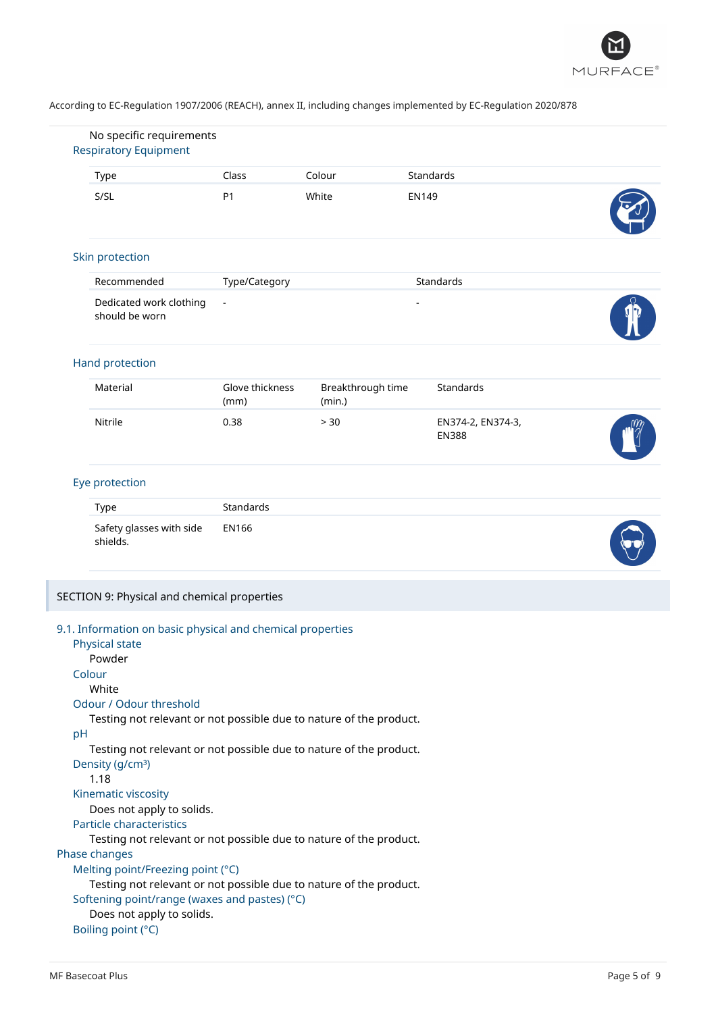

|    | No specific requirements<br><b>Respiratory Equipment</b>                                                                                                                                                                                                                                                                                                                                                                                                                                                                             |                          |                             |                |                                   |  |
|----|--------------------------------------------------------------------------------------------------------------------------------------------------------------------------------------------------------------------------------------------------------------------------------------------------------------------------------------------------------------------------------------------------------------------------------------------------------------------------------------------------------------------------------------|--------------------------|-----------------------------|----------------|-----------------------------------|--|
|    | Type                                                                                                                                                                                                                                                                                                                                                                                                                                                                                                                                 | Class                    | Colour                      |                | Standards                         |  |
|    | S/SL                                                                                                                                                                                                                                                                                                                                                                                                                                                                                                                                 | P <sub>1</sub>           | White                       | EN149          |                                   |  |
|    | Skin protection                                                                                                                                                                                                                                                                                                                                                                                                                                                                                                                      |                          |                             |                |                                   |  |
|    | Recommended                                                                                                                                                                                                                                                                                                                                                                                                                                                                                                                          | Type/Category            |                             |                | Standards                         |  |
|    | Dedicated work clothing<br>should be worn                                                                                                                                                                                                                                                                                                                                                                                                                                                                                            | $\overline{\phantom{a}}$ |                             | $\overline{a}$ |                                   |  |
|    | Hand protection                                                                                                                                                                                                                                                                                                                                                                                                                                                                                                                      |                          |                             |                |                                   |  |
|    | Material                                                                                                                                                                                                                                                                                                                                                                                                                                                                                                                             | Glove thickness<br>(mm)  | Breakthrough time<br>(min.) |                | Standards                         |  |
|    | Nitrile                                                                                                                                                                                                                                                                                                                                                                                                                                                                                                                              | 0.38                     | > 30                        |                | EN374-2, EN374-3,<br><b>EN388</b> |  |
|    | Eye protection                                                                                                                                                                                                                                                                                                                                                                                                                                                                                                                       |                          |                             |                |                                   |  |
|    | Type                                                                                                                                                                                                                                                                                                                                                                                                                                                                                                                                 | Standards                |                             |                |                                   |  |
|    | Safety glasses with side<br>shields.                                                                                                                                                                                                                                                                                                                                                                                                                                                                                                 | <b>EN166</b>             |                             |                |                                   |  |
|    | SECTION 9: Physical and chemical properties                                                                                                                                                                                                                                                                                                                                                                                                                                                                                          |                          |                             |                |                                   |  |
| pH | 9.1. Information on basic physical and chemical properties<br>Physical state<br>Powder<br>Colour<br>White<br>Odour / Odour threshold<br>Testing not relevant or not possible due to nature of the product.<br>Testing not relevant or not possible due to nature of the product.<br>Density (g/cm <sup>3</sup> )<br>1.18<br>Kinematic viscosity<br>Does not apply to solids.<br>Particle characteristics<br>Testing not relevant or not possible due to nature of the product.<br>Phase changes<br>Melting point/Freezing point (°C) |                          |                             |                |                                   |  |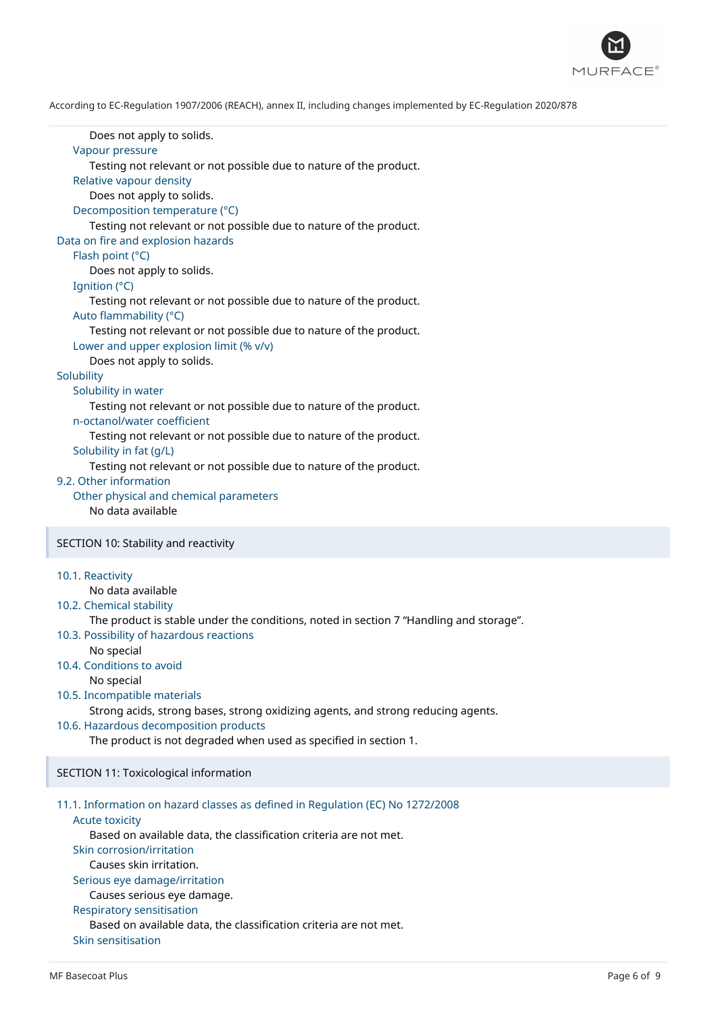

Does not apply to solids. Vapour pressure Testing not relevant or not possible due to nature of the product. Relative vapour density Does not apply to solids. Decomposition temperature (°C) Testing not relevant or not possible due to nature of the product. Data on fire and explosion hazards Flash point (°C) Does not apply to solids. Ignition (°C) Testing not relevant or not possible due to nature of the product. Auto flammability (°C) Testing not relevant or not possible due to nature of the product. Lower and upper explosion limit (% v/v) Does not apply to solids. **Solubility** Solubility in water Testing not relevant or not possible due to nature of the product. n-octanol/water coefficient Testing not relevant or not possible due to nature of the product. Solubility in fat (g/L) Testing not relevant or not possible due to nature of the product. 9.2. Other information Other physical and chemical parameters No data available SECTION 10: Stability and reactivity 10.1. Reactivity No data available 10.2. Chemical stability The product is stable under the conditions, noted in section 7 "Handling and storage". 10.3. Possibility of hazardous reactions No special 10.4. Conditions to avoid No special 10.5. Incompatible materials Strong acids, strong bases, strong oxidizing agents, and strong reducing agents. 10.6. Hazardous decomposition products The product is not degraded when used as specified in section 1. SECTION 11: Toxicological information

11.1. Information on hazard classes as defined in Regulation (EC) No 1272/2008

#### Acute toxicity

Based on available data, the classification criteria are not met.

# Skin corrosion/irritation

Causes skin irritation.

# Serious eye damage/irritation

Causes serious eye damage.

### Respiratory sensitisation

Based on available data, the classification criteria are not met.

Skin sensitisation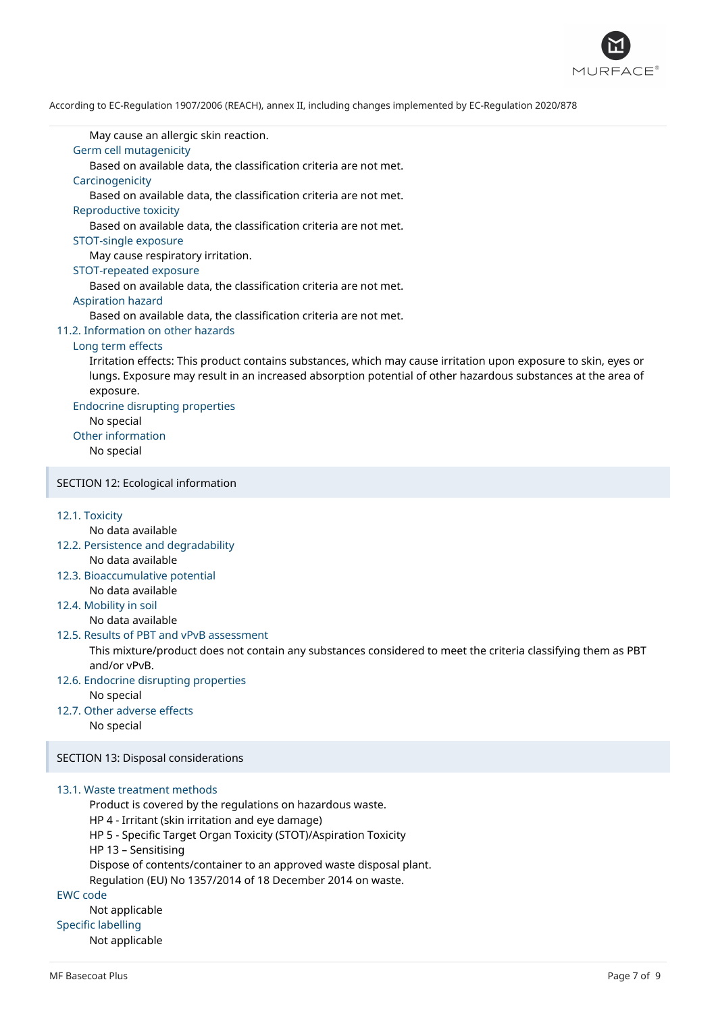

May cause an allergic skin reaction.

# Germ cell mutagenicity

Based on available data, the classification criteria are not met.

### **Carcinogenicity**

Based on available data, the classification criteria are not met.

#### Reproductive toxicity

Based on available data, the classification criteria are not met.

STOT-single exposure

May cause respiratory irritation.

### STOT-repeated exposure

Based on available data, the classification criteria are not met.

#### Aspiration hazard

Based on available data, the classification criteria are not met.

### 11.2. Information on other hazards

# Long term effects

Irritation effects: This product contains substances, which may cause irritation upon exposure to skin, eyes or lungs. Exposure may result in an increased absorption potential of other hazardous substances at the area of exposure.

Endocrine disrupting properties

#### No special

Other information

No special

SECTION 12: Ecological information

#### 12.1. Toxicity

No data available

- 12.2. Persistence and degradability No data available
- 12.3. Bioaccumulative potential No data available

12.4. Mobility in soil

No data available

# 12.5. Results of PBT and vPvB assessment

This mixture/product does not contain any substances considered to meet the criteria classifying them as PBT and/or vPvB.

12.6. Endocrine disrupting properties

No special

12.7. Other adverse effects

No special

SECTION 13: Disposal considerations

### 13.1. Waste treatment methods

Product is covered by the regulations on hazardous waste. HP 4 - Irritant (skin irritation and eye damage) HP 5 - Specific Target Organ Toxicity (STOT)/Aspiration Toxicity HP 13 – Sensitising Dispose of contents/container to an approved waste disposal plant. Regulation (EU) No 1357/2014 of 18 December 2014 on waste.

EWC code

Not applicable Specific labelling Not applicable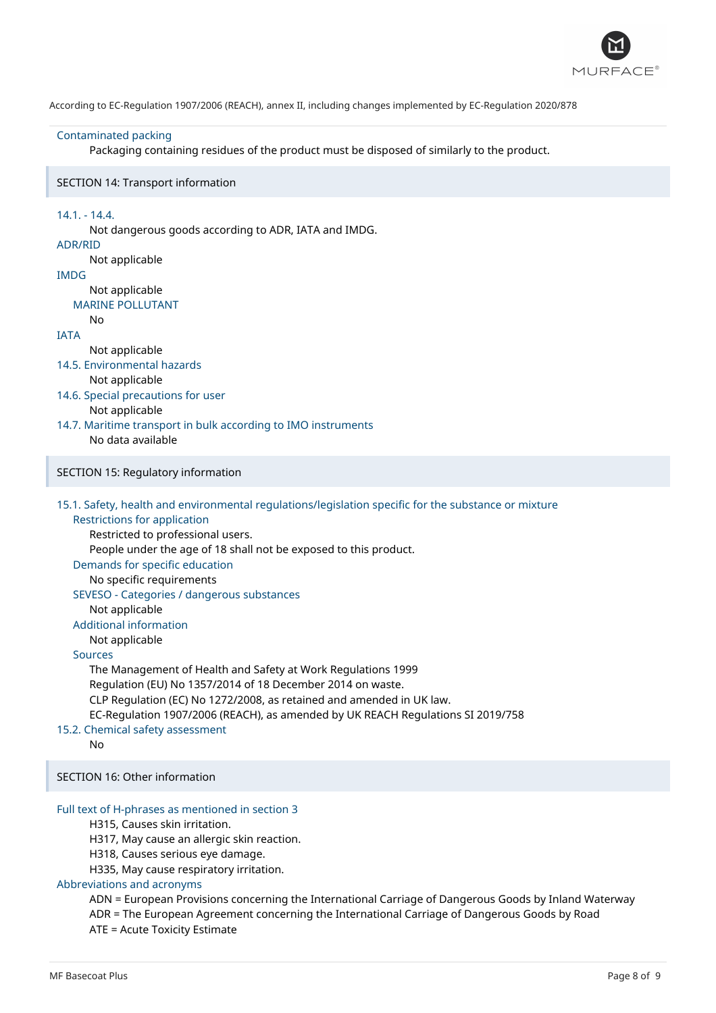

#### Contaminated packing

Packaging containing residues of the product must be disposed of similarly to the product.

#### SECTION 14: Transport information

14.1. - 14.4. Not dangerous goods according to ADR, IATA and IMDG. ADR/RID Not applicable IMDG Not applicable MARINE POLLUTANT No IATA Not applicable 14.5. Environmental hazards Not applicable 14.6. Special precautions for user Not applicable 14.7. Maritime transport in bulk according to IMO instruments No data available SECTION 15: Regulatory information 15.1. Safety, health and environmental regulations/legislation specific for the substance or mixture Restrictions for application Restricted to professional users. People under the age of 18 shall not be exposed to this product. Demands for specific education No specific requirements SEVESO - Categories / dangerous substances Not applicable Additional information Not applicable Sources The Management of Health and Safety at Work Regulations 1999 Regulation (EU) No 1357/2014 of 18 December 2014 on waste. CLP Regulation (EC) No 1272/2008, as retained and amended in UK law. EC-Regulation 1907/2006 (REACH), as amended by UK REACH Regulations SI 2019/758 15.2. Chemical safety assessment No SECTION 16: Other information Full text of H-phrases as mentioned in section 3 H315, Causes skin irritation. H317, May cause an allergic skin reaction. H318, Causes serious eye damage. H335, May cause respiratory irritation. Abbreviations and acronyms ADN = European Provisions concerning the International Carriage of Dangerous Goods by Inland Waterway ADR = The European Agreement concerning the International Carriage of Dangerous Goods by Road

ATE = Acute Toxicity Estimate